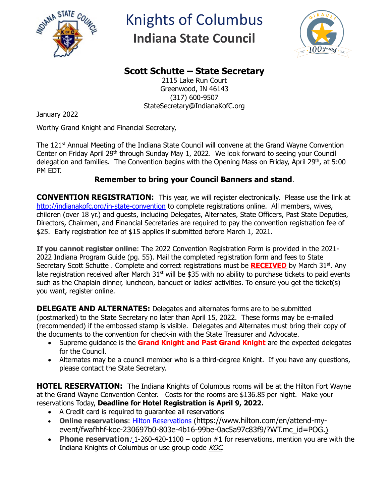

## Knights of Columbus **Indiana State Council**



## **Scott Schutte – State Secretary**

2115 Lake Run Court Greenwood, IN 46143 (317) 600-9507 StateSecretary@IndianaKofC.org

January 2022

Worthy Grand Knight and Financial Secretary,

The 121<sup>st</sup> Annual Meeting of the Indiana State Council will convene at the Grand Wayne Convention Center on Friday April 29<sup>th</sup> through Sunday May 1, 2022. We look forward to seeing your Council delegation and families. The Convention begins with the Opening Mass on Friday, April 29<sup>th</sup>, at 5:00 PM EDT.

## **Remember to bring your Council Banners and stand**.

**CONVENTION REGISTRATION:** This year, we will register electronically. Please use the link at <http://indianakofc.org/in-state-convention> to complete registrations online. All members, wives, children (over 18 yr.) and guests, including Delegates, Alternates, State Officers, Past State Deputies, Directors, Chairmen, and Financial Secretaries are required to pay the convention registration fee of \$25. Early registration fee of \$15 applies if submitted before March 1, 2021.

**If you cannot register online**: The 2022 Convention Registration Form is provided in the 2021- 2022 Indiana Program Guide (pg. 55). Mail the completed registration form and fees to State Secretary Scott Schutte . Complete and correct registrations must be **RECEIVED** by March 31<sup>st</sup>. Any late registration received after March  $31<sup>st</sup>$  will be \$35 with no ability to purchase tickets to paid events such as the Chaplain dinner, luncheon, banquet or ladies' activities. To ensure you get the ticket(s) you want, register online.

**DELEGATE AND ALTERNATES:** Delegates and alternates forms are to be submitted (postmarked) to the State Secretary no later than April 15, 2022. These forms may be e-mailed (recommended) if the embossed stamp is visible. Delegates and Alternates must bring their copy of the documents to the convention for check-in with the State Treasurer and Advocate.

- Supreme guidance is the **Grand Knight and Past Grand Knight** are the expected delegates for the Council.
- Alternates may be a council member who is a third-degree Knight. If you have any questions, please contact the State Secretary.

**HOTEL RESERVATION:** The Indiana Knights of Columbus rooms will be at the Hilton Fort Wayne at the Grand Wayne Convention Center. Costs for the rooms are \$136.85 per night. Make your reservations Today, **Deadline for Hotel Registration is April 9, 2022.** 

- A Credit card is required to guarantee all reservations
- **Online reservations**: [Hilton Reservations](https://www.hilton.com/en/attend-my-event/fwafhhf-koc-230697b0-803e-4b16-99be-0ac5a97c83f9/?WT.mc_id=POG.) (https://www.hilton.com/en/attend-myevent/fwafhhf-koc-230697b0-803e-4b16-99be-0ac5a97c83f9/?WT.mc\_id=POG.)
- **Phone reservation**: 1-260-420-1100 option #1 for reservations, mention you are with the Indiana Knights of Columbus or use group code KOC.